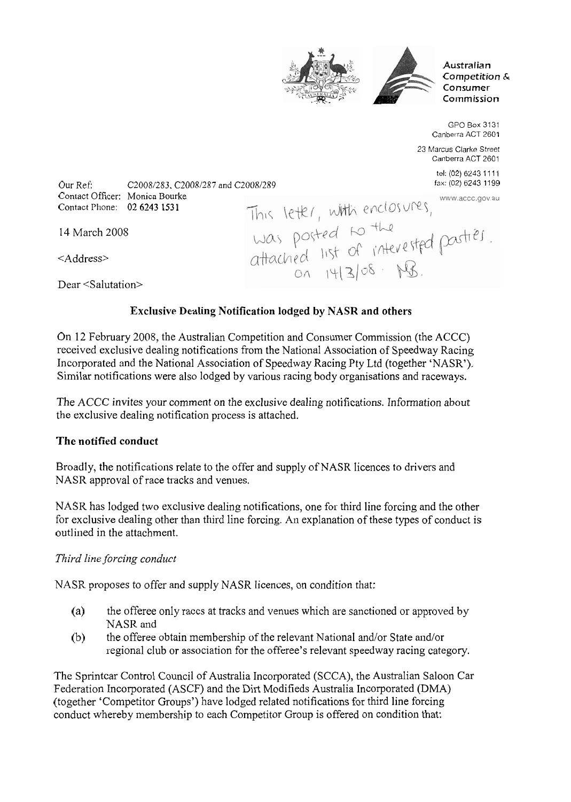



**Australian Competition** & **Consumer**   $Commic$ sion

GPO Box 3131 Canberra ACT 2601 23 Marcus Clarke Street Canberra ACT 2601 tel: (02) 6243 11 11

fax: (02) 6243 1 199 www.accc.gov.au

Our Ref: C2008/283. C2008/287 and C2008/289<br>
Contact Officer: Monica Bourke<br>
Contact Phone: 02 6243 1531<br>
This letter, withi enclosures, www.acce.gov.a<br>
Contact Phone: 02 6243 1531<br>
This letter, withi enclosures, www.acce. Contact Officer: Monica Bourke Contact Phone: 02 6243 153 1

14 March 2005

<Address>

Dear <Salutation>

## **Exclusive Dealing Notification lodged by NASR and others**

On 12 February 2008, the Australian Competition and Consumer Commission (the ACCC) received exclusive dealing notifications from the National Association of Speedway Racing Incorporated and the National Association of Speedway Racing Pty Ltd (together 'NASR'). Similar notifications were also lodged by various racing body organisations and raceways.

The ACCC invites your comment on the exclusive dealing notifications. Information about the exclusive dealing notification process is attached.

### **The notified conduct**

Broadly, the notifications relate to the offer and supply of NASR licences to drivers and NASR approval of race tracks and venues.

NASR has lodged two exclusive dealing notifications, one for third line forcing and the other for exclusive dealing other than third line forcing. An explanation of these types of conduct is outlined in the attachment.

### *Third line forcing conduct*

NASR proposes to offer and supply NASR licences, on condition that:

- (a) the offeree only races at tracks and venues which are sanctioned or approved by NASR and
- (b) the offeree obtain membership of the relevant National and/or State and/or regional club or association for the offeree's relevant speedway racing category.

The Sprintcar Control Council of Australia Incorporated (SCCA), the Australian Saloon Car Federation Incorporated (ASCF) and the Dirt Modifieds Australia Incorporated (DMA) (together 'Competitor Groups') have lodged related notifications for third line forcing conduct whereby membership to each Competitor Group is offered on condition that: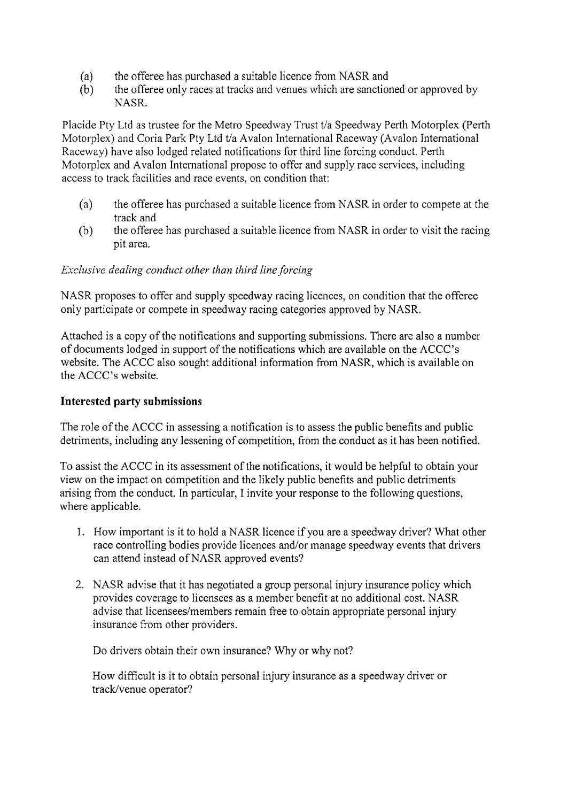- 
- (a) the offeree has purchased a suitable licence from NASR and<br>(b) the offeree only races at tracks and venues which are sanction the offeree only races at tracks and venues which are sanctioned or approved by NASR.

Placide Pty Ltd as trustee for the Metro Speedway Trust t/a Speedway Perth Motorplex (Perth Motorplex) and Coria Park Pty Ltd t/a Avalon International Raceway (Avalon International Raceway) have also lodged related notifications for third line forcing conduct. Perth Motorplex and Avalon International propose to offer and supply race services, including access to track facilities and race events, on condition that:

- (a) the offeree has purchased a suitable licence from NASR in order to compete at the track and
- (b) the offeree has purchased a suitable licence from NASR in order to visit the racing pit area.

#### *Exclusive dealing conduct other than third line forcing*

NASR proposes to offer and supply speedway racing licences, on condition that the offeree only participate or compete in speedway racing categories approved by NASR.

Attached is a copy of the notifications and supporting submissions. There are also a number of documents lodged in support of the notifications which are available on the ACCC's website. The ACCC also sought additional information from NASR, which is available on the ACCC's website.

### **Interested party submissions**

The role of the ACCC in assessing a notification is to assess the public benefits and public detriments, including any lessening of competition, from the conduct as it has been notified.

To assist the ACCC in its assessment of the notifications, it would be helpful to obtain your view on the impact on competition and the likely public benefits and public detriments arising from the conduct. In particular, I invite your response to the following questions, where applicable.

- 1. How important is it to hold a NASR licence if you are a speedway driver? What other race controlling bodies provide licences and/or manage speedway events that drivers can attend instead of NASR approved events?
- 2. NASR advise that it has negotiated a group personal injury insurance policy which provides coverage to licensees as a member benefit at no additional cost. NASR advise that licensees/members remain free to obtain appropriate personal injury insurance from other providers.

Do drivers obtain their own insurance? Why or why not?

How difficult is it to obtain personal injury insurance as a speedway driver or track/venue operator?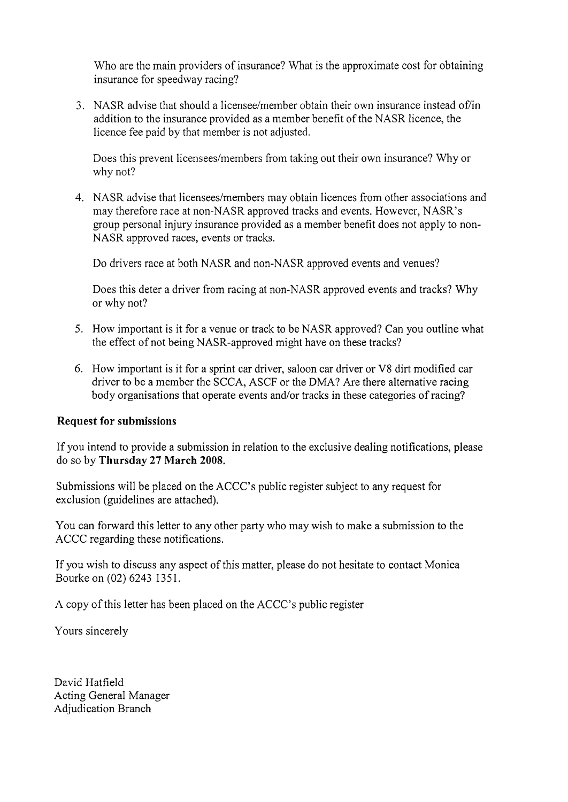Who are the main providers of insurance? What is the approximate cost for obtaining insurance for speedway racing?

3. NASR advise that should a licensee/member obtain their own insurance instead of/in addition to the insurance provided as a member benefit of the NASR licence, the licence fee paid by that member is not adjusted.

Does this prevent licensees/members from taking out their own insurance? Why or why not?

4. NASR advise that licensees/members may obtain licences from other associations and may therefore race at non-NASR approved tracks and events. However, NASR's group personal injury insurance provided as a member benefit does not apply to non-NASR approved races, events or tracks.

Do drivers race at both NASR and non-NASR approved events and venues?

Does this deter a driver from racing at non-NASR approved events and tracks? Why or why not?

- *5.* How important is it for a venue or track to be NASR approved? Can you outline what the effect of not being NASR-approved might have on these tracks?
- 6. How important is it for a sprint car driver, saloon car driver or V8 dirt modified car driver to be a member the SCCA, ASCF or the DMA? Are there alternative racing body organisations that operate events and/or tracks in these categories of racing?

#### **Request for submissions**

If you intend to provide a submission in relation to the exclusive dealing notifications, please do so by **Thursday 27 March 2008.** 

Submissions will be placed on the ACCC's public register subject to any request for exclusion (guidelines are attached).

You can forward this letter to any other party who may wish to make a submission to the ACCC regarding these notifications.

If you wish to discuss any aspect of this matter, please do not hesitate to contact Monica Bourke on (02) 6243 135 1.

A copy of this letter has been placed on the ACCC's public register

Yours sincerely

David Hatfield Acting General Manager Adjudication Branch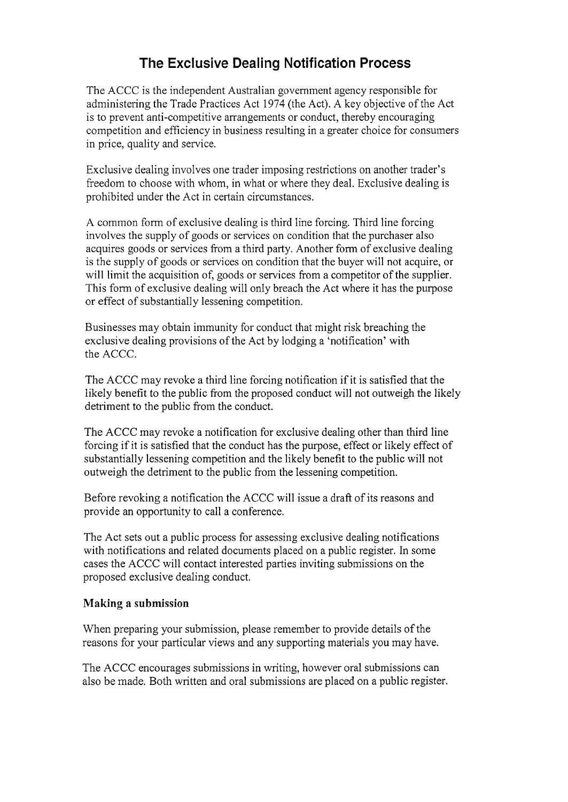# **The Exclusive Dealing Notification Process**

The ACCC is the independent Australian government agency responsible for administering the Trade Practices Act 1974 (the Act). A key objective of the Act is to prevent anti-competitive arrangements or conduct, thereby encouraging competition and efficiency in business resulting in a greater choice for consumers in price, quality and service.

Exclusive dealing involves one trader imposing restrictions on another trader's freedom to choose with whom, in what or where they deal. Exclusive dealing is prohibited under the Act in certain circumstances.

A common form of exclusive dealing is third line forcing. Third line forcing involves the supply of goods or services on condition that the purchaser also acquires goods or services from a third party. Another form of exclusive dealing is the supply of goods or services on condition that the buyer will not acquire, or will limit the acquisition of, goods or services from a competitor of the supplier. This form of exclusive dealing will only breach the Act where it has the purpose or effect of substantially lessening competition.

Businesses may obtain immunity for conduct that might risk breaching the exclusive dealing provisions of the Act by lodging a 'notification' with the ACCC.

The ACCC may revoke a third line forcing notification if it is satisfied that the likely benefit to the public from the proposed conduct will not outweigh the likely detriment to the public from the conduct.

The ACCC may revoke a notification for exclusive dealing other than third line forcing if it is satisfied that the conduct has the purpose, effect or likely effect of substantially lessening competition and the likely benefit to the public will not outweigh the detriment to the public from the lessening competition.

Before revoking a notification the ACCC will issue a draft of its reasons and provide an opportunity to call a conference.

The Act sets out a public process for assessing exclusive dealing notifications with notifications and related documents placed on a public register. In some cases the ACCC will contact interested parties inviting submissions on the proposed exclusive dealing conduct.

#### **Making a submission**

When preparing your submission, please remember to provide details of the reasons for your particular views and any supporting materials you may have.

The ACCC encourages submissions in writing, however oral submissions can also be made. Both written and oral submissions are placed on a public register.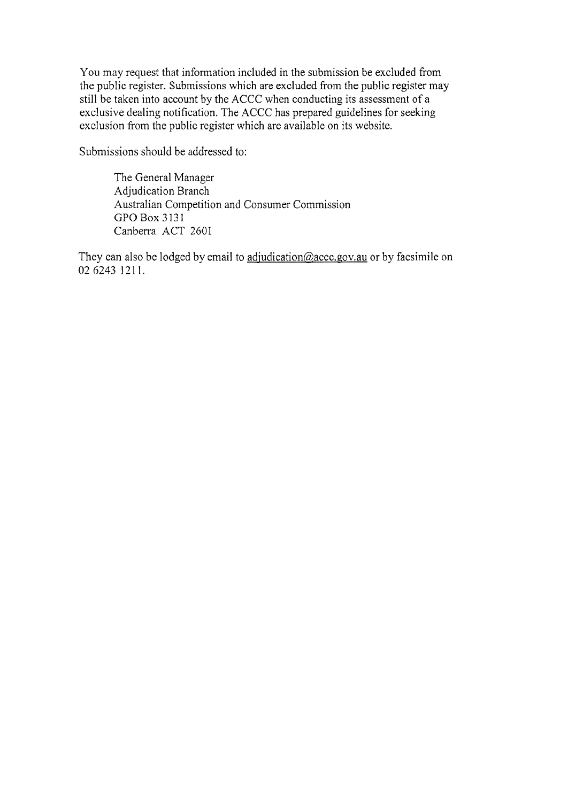You may request that information included in the submission be excluded from the public register. Submissions which are excluded from the public register may still be taken into account by the ACCC when conducting its assessment of a exclusive dealing notification. The ACCC has prepared guidelines for seeking exclusion from the public register which are available on its website.

Submissions should be addressed to:

The General Manager Adjudication Branch Australian Competition and Consumer Commission GPO Box 3131 Canberra ACT 2601

They can also be lodged by email to adjudication@accc.gov.au or by facsimile on 02 6243 1211.